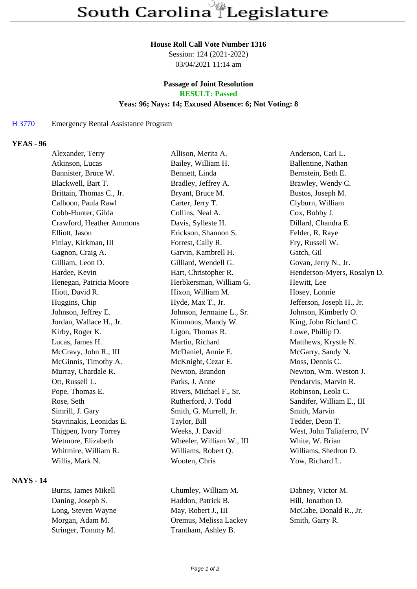#### **House Roll Call Vote Number 1316**

Session: 124 (2021-2022) 03/04/2021 11:14 am

# **Passage of Joint Resolution**

**RESULT: Passed**

## **Yeas: 96; Nays: 14; Excused Absence: 6; Not Voting: 8**

#### H 3770 Emergency Rental Assistance Program

## **YEAS - 96**

| Alexander, Terry         | Allison, Merita A.        | Anderson, Carl L.           |
|--------------------------|---------------------------|-----------------------------|
| Atkinson, Lucas          | Bailey, William H.        | Ballentine, Nathan          |
| Bannister, Bruce W.      | Bennett, Linda            | Bernstein, Beth E.          |
| Blackwell, Bart T.       | Bradley, Jeffrey A.       | Brawley, Wendy C.           |
| Brittain, Thomas C., Jr. | Bryant, Bruce M.          | Bustos, Joseph M.           |
| Calhoon, Paula Rawl      | Carter, Jerry T.          | Clyburn, William            |
| Cobb-Hunter, Gilda       | Collins, Neal A.          | Cox, Bobby J.               |
| Crawford, Heather Ammons | Davis, Sylleste H.        | Dillard, Chandra E.         |
| Elliott, Jason           | Erickson, Shannon S.      | Felder, R. Raye             |
| Finlay, Kirkman, III     | Forrest, Cally R.         | Fry, Russell W.             |
| Gagnon, Craig A.         | Garvin, Kambrell H.       | Gatch, Gil                  |
| Gilliam, Leon D.         | Gilliard, Wendell G.      | Govan, Jerry N., Jr.        |
| Hardee, Kevin            | Hart, Christopher R.      | Henderson-Myers, Rosalyn D. |
| Henegan, Patricia Moore  | Herbkersman, William G.   | Hewitt, Lee                 |
| Hiott, David R.          | Hixon, William M.         | Hosey, Lonnie               |
| Huggins, Chip            | Hyde, Max T., Jr.         | Jefferson, Joseph H., Jr.   |
| Johnson, Jeffrey E.      | Johnson, Jermaine L., Sr. | Johnson, Kimberly O.        |
| Jordan, Wallace H., Jr.  | Kimmons, Mandy W.         | King, John Richard C.       |
| Kirby, Roger K.          | Ligon, Thomas R.          | Lowe, Phillip D.            |
| Lucas, James H.          | Martin, Richard           | Matthews, Krystle N.        |
| McCravy, John R., III    | McDaniel, Annie E.        | McGarry, Sandy N.           |
| McGinnis, Timothy A.     | McKnight, Cezar E.        | Moss, Dennis C.             |
| Murray, Chardale R.      | Newton, Brandon           | Newton, Wm. Weston J.       |
| Ott, Russell L.          | Parks, J. Anne            | Pendarvis, Marvin R.        |
| Pope, Thomas E.          | Rivers, Michael F., Sr.   | Robinson, Leola C.          |
| Rose, Seth               | Rutherford, J. Todd       | Sandifer, William E., III   |
| Simrill, J. Gary         | Smith, G. Murrell, Jr.    | Smith, Marvin               |
| Stavrinakis, Leonidas E. | Taylor, Bill              | Tedder, Deon T.             |
| Thigpen, Ivory Torrey    | Weeks, J. David           | West, John Taliaferro, IV   |
| Wetmore, Elizabeth       | Wheeler, William W., III  | White, W. Brian             |
| Whitmire, William R.     | Williams, Robert Q.       | Williams, Shedron D.        |
| Willis, Mark N.          | Wooten, Chris             | Yow, Richard L.             |
|                          |                           |                             |

### **NAYS - 14**

Stringer, Tommy M. Trantham, Ashley B.

Burns, James Mikell Chumley, William M. Dabney, Victor M. Daning, Joseph S. Haddon, Patrick B. Hill, Jonathon D. Long, Steven Wayne May, Robert J., III McCabe, Donald R., Jr. Morgan, Adam M. Oremus, Melissa Lackey Smith, Garry R.